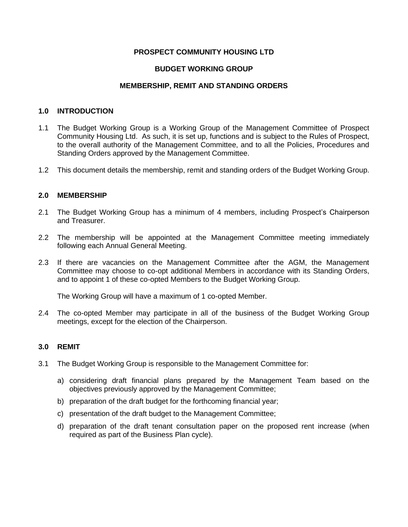## **PROSPECT COMMUNITY HOUSING LTD**

# **BUDGET WORKING GROUP**

## **MEMBERSHIP, REMIT AND STANDING ORDERS**

## **1.0 INTRODUCTION**

- 1.1 The Budget Working Group is a Working Group of the Management Committee of Prospect Community Housing Ltd. As such, it is set up, functions and is subject to the Rules of Prospect, to the overall authority of the Management Committee, and to all the Policies, Procedures and Standing Orders approved by the Management Committee.
- 1.2 This document details the membership, remit and standing orders of the Budget Working Group.

## **2.0 MEMBERSHIP**

- 2.1 The Budget Working Group has a minimum of 4 members, including Prospect's Chairperson and Treasurer.
- 2.2 The membership will be appointed at the Management Committee meeting immediately following each Annual General Meeting.
- 2.3 If there are vacancies on the Management Committee after the AGM, the Management Committee may choose to co-opt additional Members in accordance with its Standing Orders, and to appoint 1 of these co-opted Members to the Budget Working Group.

The Working Group will have a maximum of 1 co-opted Member.

2.4 The co-opted Member may participate in all of the business of the Budget Working Group meetings, except for the election of the Chairperson.

## **3.0 REMIT**

- 3.1 The Budget Working Group is responsible to the Management Committee for:
	- a) considering draft financial plans prepared by the Management Team based on the objectives previously approved by the Management Committee;
	- b) preparation of the draft budget for the forthcoming financial year;
	- c) presentation of the draft budget to the Management Committee;
	- d) preparation of the draft tenant consultation paper on the proposed rent increase (when required as part of the Business Plan cycle).